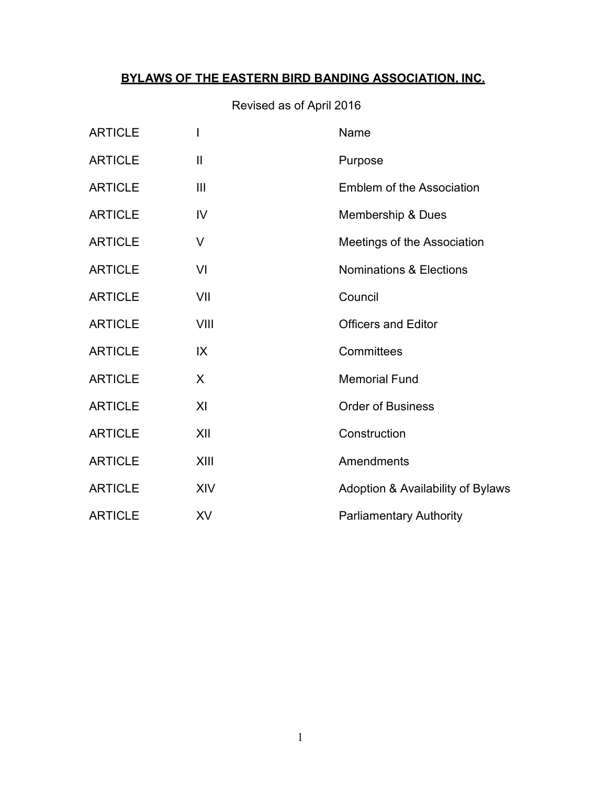# **BYLAWS OF THE EASTERN BIRD BANDING ASSOCIATION, INC.**

# Revised as of April 2016

| <b>ARTICLE</b> |                | Name                               |
|----------------|----------------|------------------------------------|
| <b>ARTICLE</b> | $\mathbf{I}$   | Purpose                            |
| <b>ARTICLE</b> | $\mathbf{III}$ | <b>Emblem of the Association</b>   |
| <b>ARTICLE</b> | IV             | Membership & Dues                  |
| <b>ARTICLE</b> | V              | Meetings of the Association        |
| <b>ARTICLE</b> | VI             | <b>Nominations &amp; Elections</b> |
| <b>ARTICLE</b> | VII            | Council                            |
| <b>ARTICLE</b> | VIII           | <b>Officers and Editor</b>         |
| <b>ARTICLE</b> | IX             | Committees                         |
| <b>ARTICLE</b> | X              | <b>Memorial Fund</b>               |
| <b>ARTICLE</b> | X <sub>l</sub> | <b>Order of Business</b>           |
| <b>ARTICLE</b> | XII            | Construction                       |
| <b>ARTICLE</b> | XIII           | Amendments                         |
| <b>ARTICLE</b> | <b>XIV</b>     | Adoption & Availability of Bylaws  |
| <b>ARTICLE</b> | <b>XV</b>      | <b>Parliamentary Authority</b>     |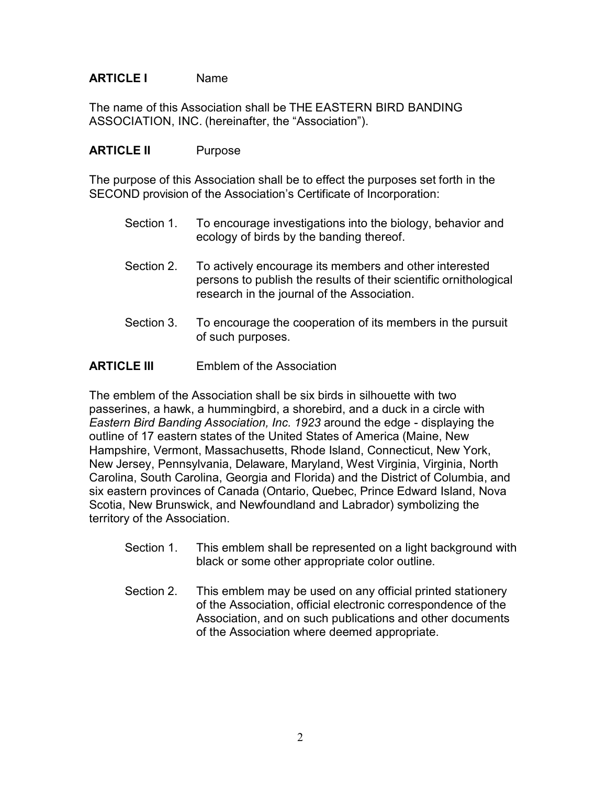## **ARTICLE I** Name

The name of this Association shall be THE EASTERN BIRD BANDING ASSOCIATION, INC. (hereinafter, the "Association").

### **ARTICLE II** Purpose

The purpose of this Association shall be to effect the purposes set forth in the SECOND provision of the Association's Certificate of Incorporation:

- Section 1. To encourage investigations into the biology, behavior and ecology of birds by the banding thereof.
- Section 2. To actively encourage its members and other interested persons to publish the results of their scientific ornithological research in the journal of the Association.
- Section 3. To encourage the cooperation of its members in the pursuit of such purposes.

## **ARTICLE III** Emblem of the Association

The emblem of the Association shall be six birds in silhouette with two passerines, a hawk, a hummingbird, a shorebird, and a duck in a circle with *Eastern Bird Banding Association, Inc. 1923* around the edge - displaying the outline of 17 eastern states of the United States of America (Maine, New Hampshire, Vermont, Massachusetts, Rhode Island, Connecticut, New York, New Jersey, Pennsylvania, Delaware, Maryland, West Virginia, Virginia, North Carolina, South Carolina, Georgia and Florida) and the District of Columbia, and six eastern provinces of Canada (Ontario, Quebec, Prince Edward Island, Nova Scotia, New Brunswick, and Newfoundland and Labrador) symbolizing the territory of the Association.

- Section 1. This emblem shall be represented on a light background with black or some other appropriate color outline.
- Section 2. This emblem may be used on any official printed stationery of the Association, official electronic correspondence of the Association, and on such publications and other documents of the Association where deemed appropriate.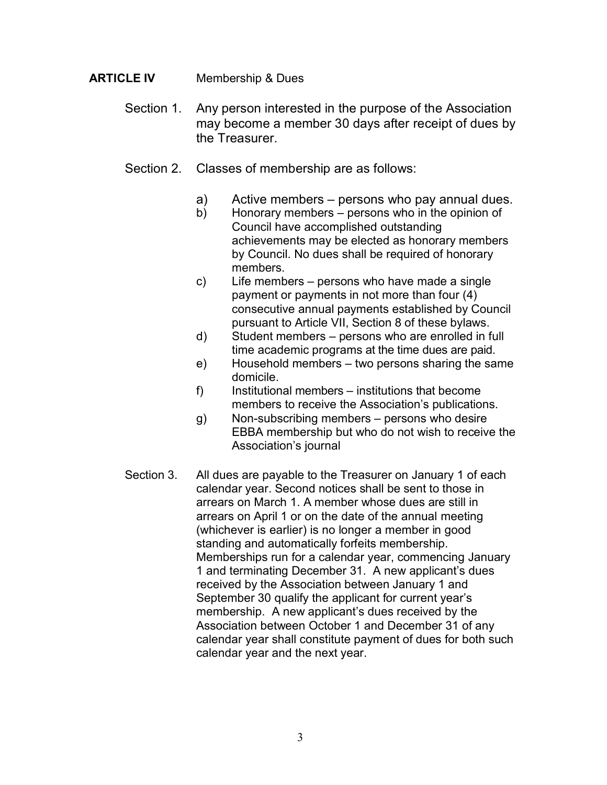## **ARTICLE IV** Membership & Dues

- Section 1. Any person interested in the purpose of the Association may become a member 30 days after receipt of dues by the Treasurer.
- Section 2. Classes of membership are as follows:
	- a) Active members persons who pay annual dues.
	- b) Honorary members persons who in the opinion of Council have accomplished outstanding achievements may be elected as honorary members by Council. No dues shall be required of honorary members.
	- c) Life members persons who have made a single payment or payments in not more than four (4) consecutive annual payments established by Council pursuant to Article VII, Section 8 of these bylaws.
	- d) Student members persons who are enrolled in full time academic programs at the time dues are paid.
	- e) Household members two persons sharing the same domicile.
	- f) Institutional members institutions that become members to receive the Association's publications.
	- g) Non-subscribing members persons who desire EBBA membership but who do not wish to receive the Association's journal
- Section 3. All dues are payable to the Treasurer on January 1 of each calendar year. Second notices shall be sent to those in arrears on March 1. A member whose dues are still in arrears on April 1 or on the date of the annual meeting (whichever is earlier) is no longer a member in good standing and automatically forfeits membership. Memberships run for a calendar year, commencing January 1 and terminating December 31. A new applicant's dues received by the Association between January 1 and September 30 qualify the applicant for current year's membership. A new applicant's dues received by the Association between October 1 and December 31 of any calendar year shall constitute payment of dues for both such calendar year and the next year.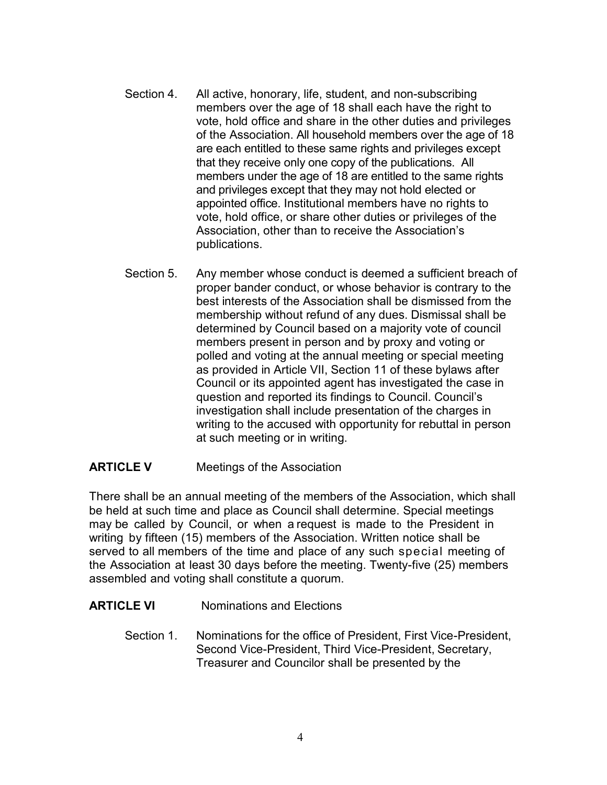- Section 4. All active, honorary, life, student, and non-subscribing members over the age of 18 shall each have the right to vote, hold office and share in the other duties and privileges of the Association. All household members over the age of 18 are each entitled to these same rights and privileges except that they receive only one copy of the publications. All members under the age of 18 are entitled to the same rights and privileges except that they may not hold elected or appointed office. Institutional members have no rights to vote, hold office, or share other duties or privileges of the Association, other than to receive the Association's publications.
- Section 5. Any member whose conduct is deemed a sufficient breach of proper bander conduct, or whose behavior is contrary to the best interests of the Association shall be dismissed from the membership without refund of any dues. Dismissal shall be determined by Council based on a majority vote of council members present in person and by proxy and voting or polled and voting at the annual meeting or special meeting as provided in Article VII, Section 11 of these bylaws after Council or its appointed agent has investigated the case in question and reported its findings to Council. Council's investigation shall include presentation of the charges in writing to the accused with opportunity for rebuttal in person at such meeting or in writing.

#### **ARTICLE V** Meetings of the Association

There shall be an annual meeting of the members of the Association, which shall be held at such time and place as Council shall determine. Special meetings may be called by Council, or when a request is made to the President in writing by fifteen (15) members of the Association. Written notice shall be served to all members of the time and place of any such special meeting of the Association at least 30 days before the meeting. Twenty-five (25) members assembled and voting shall constitute a quorum.

#### **ARTICLE VI** Nominations and Elections

Section 1. Nominations for the office of President, First Vice-President, Second Vice-President, Third Vice-President, Secretary, Treasurer and Councilor shall be presented by the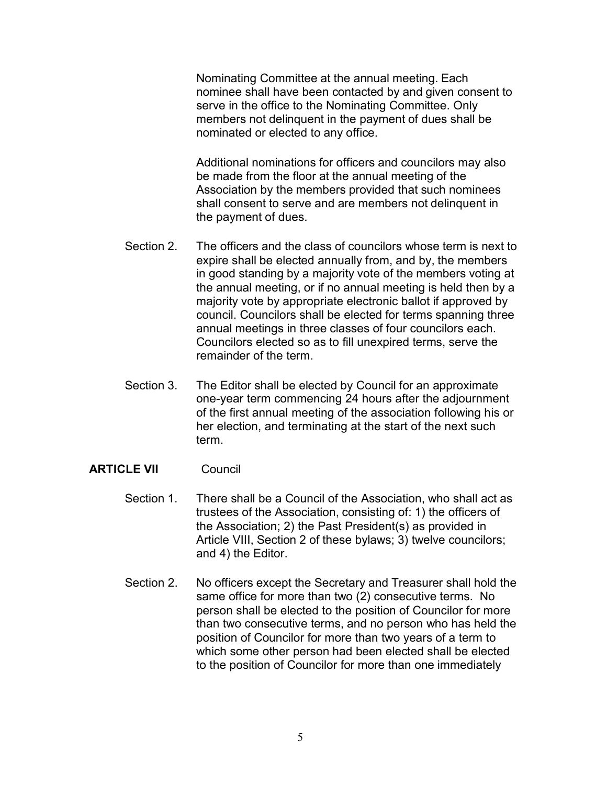Nominating Committee at the annual meeting. Each nominee shall have been contacted by and given consent to serve in the office to the Nominating Committee. Only members not delinquent in the payment of dues shall be nominated or elected to any office.

Additional nominations for officers and councilors may also be made from the floor at the annual meeting of the Association by the members provided that such nominees shall consent to serve and are members not delinquent in the payment of dues.

- Section 2. The officers and the class of councilors whose term is next to expire shall be elected annually from, and by, the members in good standing by a majority vote of the members voting at the annual meeting, or if no annual meeting is held then by a majority vote by appropriate electronic ballot if approved by council. Councilors shall be elected for terms spanning three annual meetings in three classes of four councilors each. Councilors elected so as to fill unexpired terms, serve the remainder of the term.
- Section 3. The Editor shall be elected by Council for an approximate one-year term commencing 24 hours after the adjournment of the first annual meeting of the association following his or her election, and terminating at the start of the next such term.

#### **ARTICLE VII** Council

- Section 1. There shall be a Council of the Association, who shall act as trustees of the Association, consisting of: 1) the officers of the Association; 2) the Past President(s) as provided in Article VIII, Section 2 of these bylaws; 3) twelve councilors; and 4) the Editor.
- Section 2. No officers except the Secretary and Treasurer shall hold the same office for more than two (2) consecutive terms. No person shall be elected to the position of Councilor for more than two consecutive terms, and no person who has held the position of Councilor for more than two years of a term to which some other person had been elected shall be elected to the position of Councilor for more than one immediately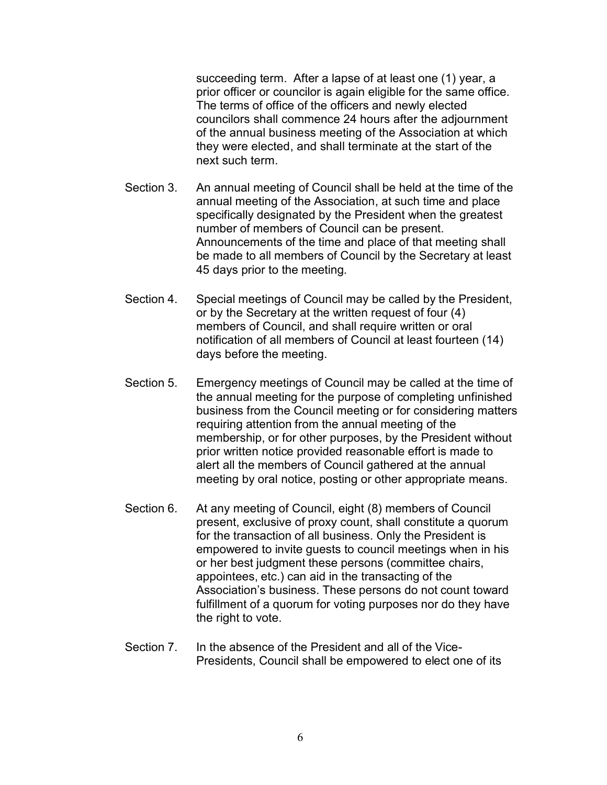succeeding term. After a lapse of at least one (1) year, a prior officer or councilor is again eligible for the same office. The terms of office of the officers and newly elected councilors shall commence 24 hours after the adjournment of the annual business meeting of the Association at which they were elected, and shall terminate at the start of the next such term.

- Section 3. An annual meeting of Council shall be held at the time of the annual meeting of the Association, at such time and place specifically designated by the President when the greatest number of members of Council can be present. Announcements of the time and place of that meeting shall be made to all members of Council by the Secretary at least 45 days prior to the meeting.
- Section 4. Special meetings of Council may be called by the President, or by the Secretary at the written request of four (4) members of Council, and shall require written or oral notification of all members of Council at least fourteen (14) days before the meeting.
- Section 5. Emergency meetings of Council may be called at the time of the annual meeting for the purpose of completing unfinished business from the Council meeting or for considering matters requiring attention from the annual meeting of the membership, or for other purposes, by the President without prior written notice provided reasonable effort is made to alert all the members of Council gathered at the annual meeting by oral notice, posting or other appropriate means.
- Section 6. At any meeting of Council, eight (8) members of Council present, exclusive of proxy count, shall constitute a quorum for the transaction of all business. Only the President is empowered to invite guests to council meetings when in his or her best judgment these persons (committee chairs, appointees, etc.) can aid in the transacting of the Association's business. These persons do not count toward fulfillment of a quorum for voting purposes nor do they have the right to vote.
- Section 7. In the absence of the President and all of the Vice-Presidents, Council shall be empowered to elect one of its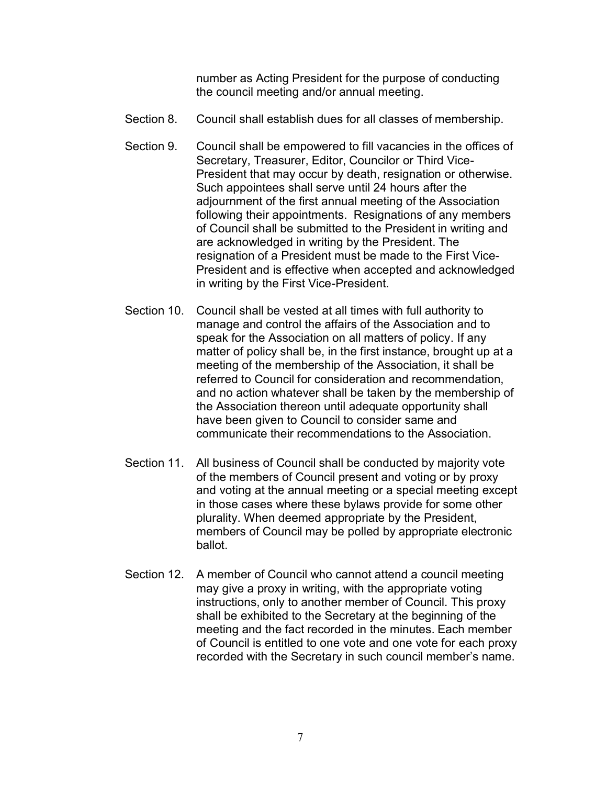number as Acting President for the purpose of conducting the council meeting and/or annual meeting.

- Section 8. Council shall establish dues for all classes of membership.
- Section 9. Council shall be empowered to fill vacancies in the offices of Secretary, Treasurer, Editor, Councilor or Third Vice-President that may occur by death, resignation or otherwise. Such appointees shall serve until 24 hours after the adjournment of the first annual meeting of the Association following their appointments. Resignations of any members of Council shall be submitted to the President in writing and are acknowledged in writing by the President. The resignation of a President must be made to the First Vice-President and is effective when accepted and acknowledged in writing by the First Vice-President.
- Section 10. Council shall be vested at all times with full authority to manage and control the affairs of the Association and to speak for the Association on all matters of policy. If any matter of policy shall be, in the first instance, brought up at a meeting of the membership of the Association, it shall be referred to Council for consideration and recommendation, and no action whatever shall be taken by the membership of the Association thereon until adequate opportunity shall have been given to Council to consider same and communicate their recommendations to the Association.
- Section 11. All business of Council shall be conducted by majority vote of the members of Council present and voting or by proxy and voting at the annual meeting or a special meeting except in those cases where these bylaws provide for some other plurality. When deemed appropriate by the President, members of Council may be polled by appropriate electronic ballot.
- Section 12. A member of Council who cannot attend a council meeting may give a proxy in writing, with the appropriate voting instructions, only to another member of Council. This proxy shall be exhibited to the Secretary at the beginning of the meeting and the fact recorded in the minutes. Each member of Council is entitled to one vote and one vote for each proxy recorded with the Secretary in such council member's name.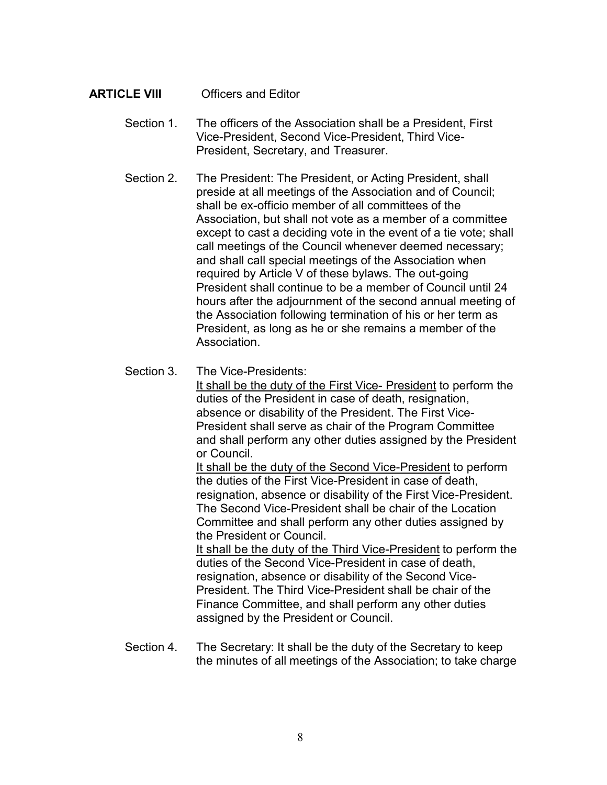## **ARTICLE VIII** Officers and Editor

- Section 1. The officers of the Association shall be a President, First Vice-President, Second Vice-President, Third Vice-President, Secretary, and Treasurer.
- Section 2. The President: The President, or Acting President, shall preside at all meetings of the Association and of Council; shall be ex-officio member of all committees of the Association, but shall not vote as a member of a committee except to cast a deciding vote in the event of a tie vote; shall call meetings of the Council whenever deemed necessary; and shall call special meetings of the Association when required by Article V of these bylaws. The out-going President shall continue to be a member of Council until 24 hours after the adjournment of the second annual meeting of the Association following termination of his or her term as President, as long as he or she remains a member of the Association.
- Section 3 The Vice-Presidents:

It shall be the duty of the First Vice- President to perform the duties of the President in case of death, resignation, absence or disability of the President. The First Vice-President shall serve as chair of the Program Committee and shall perform any other duties assigned by the President or Council.

It shall be the duty of the Second Vice-President to perform the duties of the First Vice-President in case of death, resignation, absence or disability of the First Vice-President. The Second Vice-President shall be chair of the Location Committee and shall perform any other duties assigned by the President or Council.

It shall be the duty of the Third Vice-President to perform the duties of the Second Vice-President in case of death, resignation, absence or disability of the Second Vice-President. The Third Vice-President shall be chair of the Finance Committee, and shall perform any other duties assigned by the President or Council.

Section 4. The Secretary: It shall be the duty of the Secretary to keep the minutes of all meetings of the Association; to take charge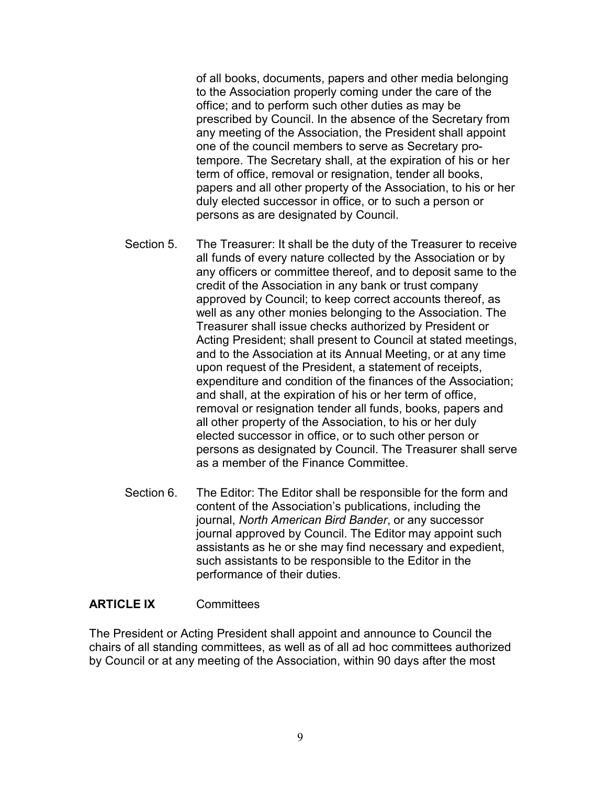of all books, documents, papers and other media belonging to the Association properly coming under the care of the office; and to perform such other duties as may be prescribed by Council. In the absence of the Secretary from any meeting of the Association, the President shall appoint one of the council members to serve as Secretary protempore. The Secretary shall, at the expiration of his or her term of office, removal or resignation, tender all books, papers and all other property of the Association, to his or her duly elected successor in office, or to such a person or persons as are designated by Council.

- Section 5. The Treasurer: It shall be the duty of the Treasurer to receive all funds of every nature collected by the Association or by any officers or committee thereof, and to deposit same to the credit of the Association in any bank or trust company approved by Council; to keep correct accounts thereof, as well as any other monies belonging to the Association. The Treasurer shall issue checks authorized by President or Acting President; shall present to Council at stated meetings, and to the Association at its Annual Meeting, or at any time upon request of the President, a statement of receipts, expenditure and condition of the finances of the Association; and shall, at the expiration of his or her term of office, removal or resignation tender all funds, books, papers and all other property of the Association, to his or her duly elected successor in office, or to such other person or persons as designated by Council. The Treasurer shall serve as a member of the Finance Committee.
- Section 6. The Editor: The Editor shall be responsible for the form and content of the Association's publications, including the journal, *North American Bird Bander*, or any successor journal approved by Council. The Editor may appoint such assistants as he or she may find necessary and expedient, such assistants to be responsible to the Editor in the performance of their duties.

#### **ARTICLE IX** Committees

The President or Acting President shall appoint and announce to Council the chairs of all standing committees, as well as of all ad hoc committees authorized by Council or at any meeting of the Association, within 90 days after the most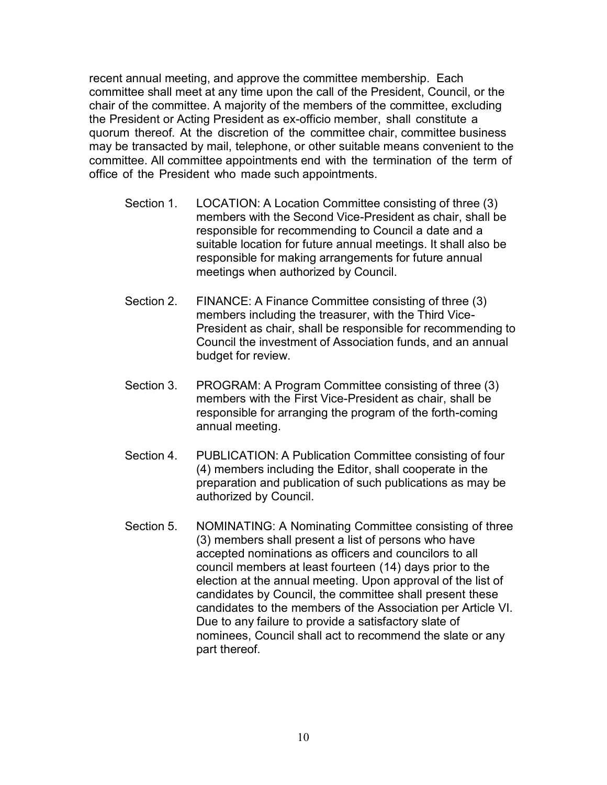recent annual meeting, and approve the committee membership. Each committee shall meet at any time upon the call of the President, Council, or the chair of the committee. A majority of the members of the committee, excluding the President or Acting President as ex-officio member, shall constitute a quorum thereof. At the discretion of the committee chair, committee business may be transacted by mail, telephone, or other suitable means convenient to the committee. All committee appointments end with the termination of the term of office of the President who made such appointments.

- Section 1. LOCATION: A Location Committee consisting of three (3) members with the Second Vice-President as chair, shall be responsible for recommending to Council a date and a suitable location for future annual meetings. It shall also be responsible for making arrangements for future annual meetings when authorized by Council.
- Section 2. FINANCE: A Finance Committee consisting of three (3) members including the treasurer, with the Third Vice-President as chair, shall be responsible for recommending to Council the investment of Association funds, and an annual budget for review.
- Section 3. PROGRAM: A Program Committee consisting of three (3) members with the First Vice-President as chair, shall be responsible for arranging the program of the forth-coming annual meeting.
- Section 4. PUBLICATION: A Publication Committee consisting of four (4) members including the Editor, shall cooperate in the preparation and publication of such publications as may be authorized by Council.
- Section 5. NOMINATING: A Nominating Committee consisting of three (3) members shall present a list of persons who have accepted nominations as officers and councilors to all council members at least fourteen (14) days prior to the election at the annual meeting. Upon approval of the list of candidates by Council, the committee shall present these candidates to the members of the Association per Article VI. Due to any failure to provide a satisfactory slate of nominees, Council shall act to recommend the slate or any part thereof.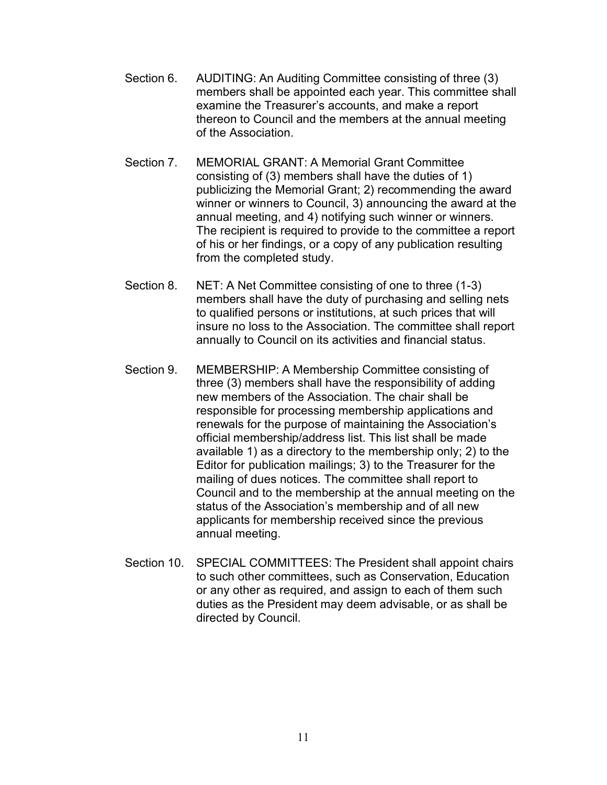- Section 6. AUDITING: An Auditing Committee consisting of three (3) members shall be appointed each year. This committee shall examine the Treasurer's accounts, and make a report thereon to Council and the members at the annual meeting of the Association.
- Section 7. MEMORIAL GRANT: A Memorial Grant Committee consisting of (3) members shall have the duties of 1) publicizing the Memorial Grant; 2) recommending the award winner or winners to Council, 3) announcing the award at the annual meeting, and 4) notifying such winner or winners. The recipient is required to provide to the committee a report of his or her findings, or a copy of any publication resulting from the completed study.
- Section 8. NET: A Net Committee consisting of one to three (1-3) members shall have the duty of purchasing and selling nets to qualified persons or institutions, at such prices that will insure no loss to the Association. The committee shall report annually to Council on its activities and financial status.
- Section 9. MEMBERSHIP: A Membership Committee consisting of three (3) members shall have the responsibility of adding new members of the Association. The chair shall be responsible for processing membership applications and renewals for the purpose of maintaining the Association's official membership/address list. This list shall be made available 1) as a directory to the membership only; 2) to the Editor for publication mailings; 3) to the Treasurer for the mailing of dues notices. The committee shall report to Council and to the membership at the annual meeting on the status of the Association's membership and of all new applicants for membership received since the previous annual meeting.
- Section 10. SPECIAL COMMITTEES: The President shall appoint chairs to such other committees, such as Conservation, Education or any other as required, and assign to each of them such duties as the President may deem advisable, or as shall be directed by Council.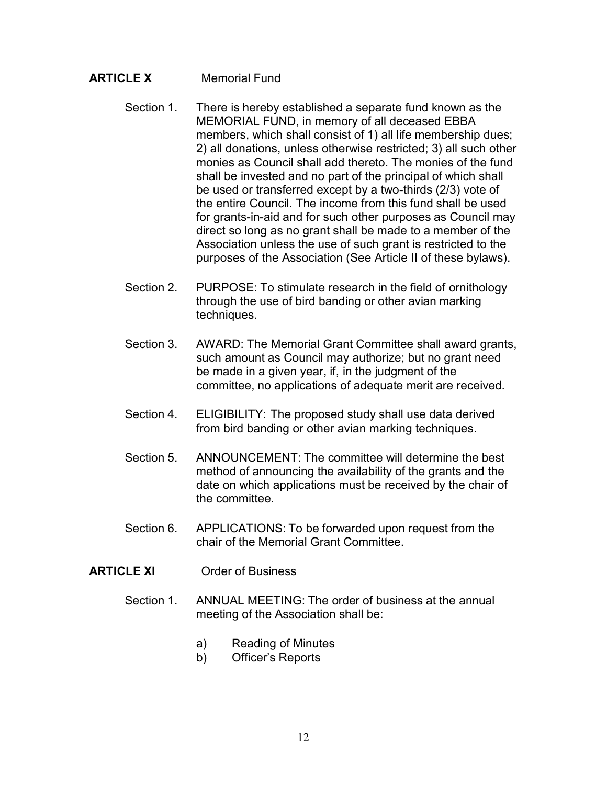## **ARTICLE X** Memorial Fund

- Section 1. There is hereby established a separate fund known as the MEMORIAL FUND, in memory of all deceased EBBA members, which shall consist of 1) all life membership dues; 2) all donations, unless otherwise restricted; 3) all such other monies as Council shall add thereto. The monies of the fund shall be invested and no part of the principal of which shall be used or transferred except by a two-thirds (2/3) vote of the entire Council. The income from this fund shall be used for grants-in-aid and for such other purposes as Council may direct so long as no grant shall be made to a member of the Association unless the use of such grant is restricted to the purposes of the Association (See Article II of these bylaws).
- Section 2. PURPOSE: To stimulate research in the field of ornithology through the use of bird banding or other avian marking techniques.
- Section 3. AWARD: The Memorial Grant Committee shall award grants, such amount as Council may authorize; but no grant need be made in a given year, if, in the judgment of the committee, no applications of adequate merit are received.
- Section 4. ELIGIBILITY: The proposed study shall use data derived from bird banding or other avian marking techniques.
- Section 5. ANNOUNCEMENT: The committee will determine the best method of announcing the availability of the grants and the date on which applications must be received by the chair of the committee.
- Section 6. APPLICATIONS: To be forwarded upon request from the chair of the Memorial Grant Committee.
- **ARTICLE XI** Order of Business
	- Section 1. ANNUAL MEETING: The order of business at the annual meeting of the Association shall be:
		- a) Reading of Minutes
		- b) Officer's Reports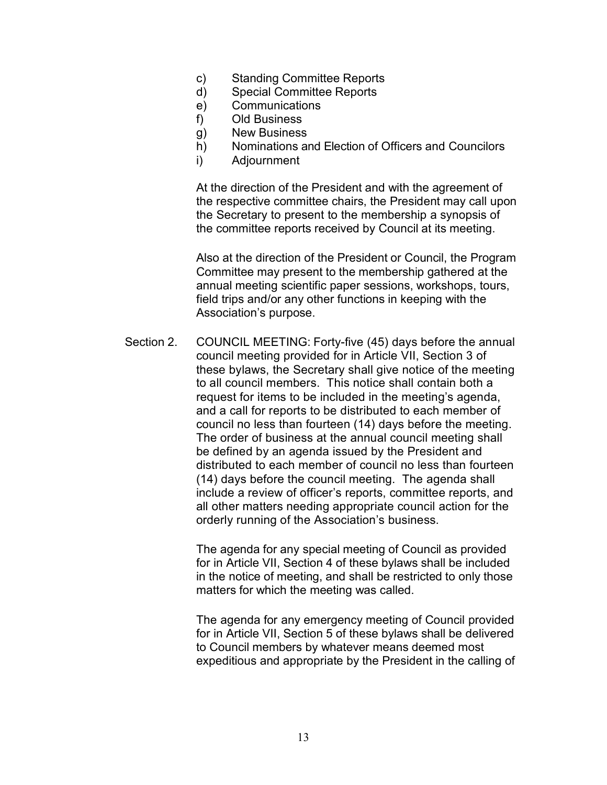- c) Standing Committee Reports
- d) Special Committee Reports
- e) Communications
- f) Old Business
- g) New Business
- h) Nominations and Election of Officers and Councilors
- i) Adjournment

At the direction of the President and with the agreement of the respective committee chairs, the President may call upon the Secretary to present to the membership a synopsis of the committee reports received by Council at its meeting.

Also at the direction of the President or Council, the Program Committee may present to the membership gathered at the annual meeting scientific paper sessions, workshops, tours, field trips and/or any other functions in keeping with the Association's purpose.

Section 2. COUNCIL MEETING: Forty-five (45) days before the annual council meeting provided for in Article VII, Section 3 of these bylaws, the Secretary shall give notice of the meeting to all council members. This notice shall contain both a request for items to be included in the meeting's agenda, and a call for reports to be distributed to each member of council no less than fourteen (14) days before the meeting. The order of business at the annual council meeting shall be defined by an agenda issued by the President and distributed to each member of council no less than fourteen (14) days before the council meeting. The agenda shall include a review of officer's reports, committee reports, and all other matters needing appropriate council action for the orderly running of the Association's business.

> The agenda for any special meeting of Council as provided for in Article VII, Section 4 of these bylaws shall be included in the notice of meeting, and shall be restricted to only those matters for which the meeting was called.

> The agenda for any emergency meeting of Council provided for in Article VII, Section 5 of these bylaws shall be delivered to Council members by whatever means deemed most expeditious and appropriate by the President in the calling of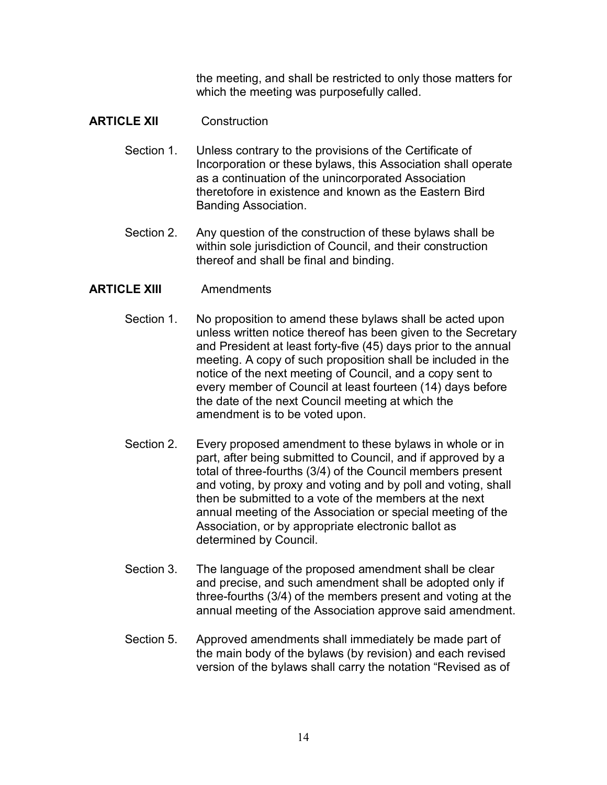the meeting, and shall be restricted to only those matters for which the meeting was purposefully called.

## **ARTICLE XII** Construction

- Section 1. Unless contrary to the provisions of the Certificate of Incorporation or these bylaws, this Association shall operate as a continuation of the unincorporated Association theretofore in existence and known as the Eastern Bird Banding Association.
- Section 2. Any question of the construction of these bylaws shall be within sole jurisdiction of Council, and their construction thereof and shall be final and binding.

## **ARTICLE XIII** Amendments

- Section 1. No proposition to amend these bylaws shall be acted upon unless written notice thereof has been given to the Secretary and President at least forty-five (45) days prior to the annual meeting. A copy of such proposition shall be included in the notice of the next meeting of Council, and a copy sent to every member of Council at least fourteen (14) days before the date of the next Council meeting at which the amendment is to be voted upon.
- Section 2. Every proposed amendment to these bylaws in whole or in part, after being submitted to Council, and if approved by a total of three-fourths (3/4) of the Council members present and voting, by proxy and voting and by poll and voting, shall then be submitted to a vote of the members at the next annual meeting of the Association or special meeting of the Association, or by appropriate electronic ballot as determined by Council.
- Section 3. The language of the proposed amendment shall be clear and precise, and such amendment shall be adopted only if three-fourths (3/4) of the members present and voting at the annual meeting of the Association approve said amendment.
- Section 5. Approved amendments shall immediately be made part of the main body of the bylaws (by revision) and each revised version of the bylaws shall carry the notation "Revised as of